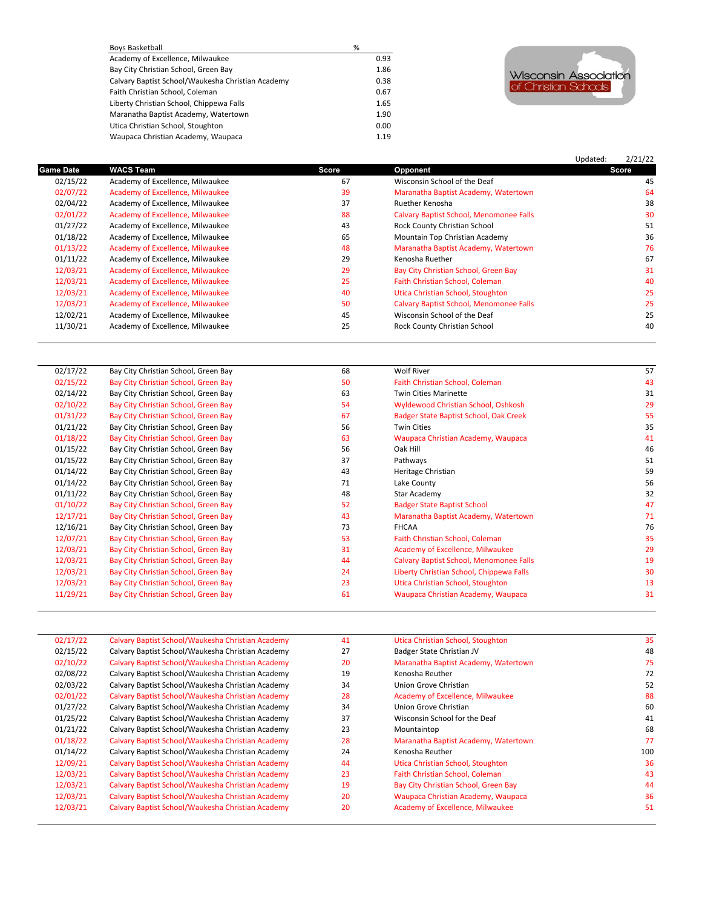| Boys Basketball                                   | %    |
|---------------------------------------------------|------|
| Academy of Excellence, Milwaukee                  | 0.93 |
| Bay City Christian School, Green Bay              | 1.86 |
| Calvary Baptist School/Waukesha Christian Academy | 0.38 |
| Faith Christian School, Coleman                   | 0.67 |
| Liberty Christian School, Chippewa Falls          | 1.65 |
| Maranatha Baptist Academy, Watertown              | 1.90 |
| Utica Christian School, Stoughton                 | 0.00 |
| Waupaca Christian Academy, Waupaca                | 1.19 |



## Updated: 2/21/22 **Game Date WACS Team Score Opponent Score** 02/15/22 Academy of Excellence, Milwaukee 67 Wisconsin School of the Deaf 45 02/07/22 Academy of Excellence, Milwaukee 39 39 Maranatha Baptist Academy, Watertown 64<br>02/04/22 Academy of Excellence, Milwaukee 37 Ruether Kenosha 38 02/04/22 Academy of Excellence, Milwaukee 37 37 Ruether Kenosha 38 38 38<br>13 O2/01/22 Academy of Excellence, Milwaukee 30 30 38 38 38 31 Calvary Baptist School, Menomonee Falls Calvary Baptist School, Menomonee Falls 01/27/22 Academy of Excellence, Milwaukee 51<br>15 Book County Christian School (1982) Academy of Excellence, Milwaukee 65 Mountain Top Christian Academy 36 01/18/22 Academy of Excellence, Milwaukee 65 Mountain Top Christian Academy 15 Academy 36 O1/13/22 Academy of Excellence, Milwaukee 61 Academy 36 Mountain Top Christian Academy, Watertown 76 Mountain Top Christian Academy, 018 **1213 Academy of Excellence 13**<br>29 Maranatha Ruether 01/11/22 Academy of Excellence, Milwaukee 67<br>12/03/21 Academy of Excellence, Milwaukee 29 Bay City Christian School, Green Bay 12/03/21 Academy of Excellence, Milwaukee 20 Bay City Christian School, Green Bay 21 Bay City Christian School, Green Bay 31<br>12/03/21 Academy of Excellence, Milwaukee 25 Faith Christian School, Coleman 40 Academy of Excellence, Milwaukee 12/03/21 Academy of Excellence, Milwaukee 1988 1998 10 and 10 and 10 and 10 Utica Christian School, Stoughton 20<br>12/03/21 Academy of Excellence, Milwaukee 1988 1999 10 and 25 and 25 and 25 and 25 and 25 and 25 and 25 and 2 12/03/21 Academy of Excellence, Milwaukee 50 Calvary Baptist School, Menomonee Falls 25 Calvary Baptist School, Menomonee Falls 25 Calvary Baptist School, Menomonee Falls 25 Calvary Baptist School of the Deaf 25 Calvary Ba Academy of Excellence, Milwaukee 11/30/21 Academy of Excellence, Milwaukee 25 Rock County Christian School 40

| 02/17/22 | Bay City Christian School, Green Bay | 68 | <b>Wolf River</b>                              | 57 |
|----------|--------------------------------------|----|------------------------------------------------|----|
| 02/15/22 | Bay City Christian School, Green Bay | 50 | Faith Christian School, Coleman                | 43 |
| 02/14/22 | Bay City Christian School, Green Bay | 63 | <b>Twin Cities Marinette</b>                   | 31 |
| 02/10/22 | Bay City Christian School, Green Bay | 54 | Wyldewood Christian School, Oshkosh            | 29 |
| 01/31/22 | Bay City Christian School, Green Bay | 67 | Badger State Baptist School, Oak Creek         | 55 |
| 01/21/22 | Bay City Christian School, Green Bay | 56 | <b>Twin Cities</b>                             | 35 |
| 01/18/22 | Bay City Christian School, Green Bay | 63 | Waupaca Christian Academy, Waupaca             | 41 |
| 01/15/22 | Bay City Christian School, Green Bay | 56 | Oak Hill                                       | 46 |
| 01/15/22 | Bay City Christian School, Green Bay | 37 | Pathways                                       | 51 |
| 01/14/22 | Bay City Christian School, Green Bay | 43 | Heritage Christian                             | 59 |
| 01/14/22 | Bay City Christian School, Green Bay | 71 | Lake County                                    | 56 |
| 01/11/22 | Bay City Christian School, Green Bay | 48 | Star Academy                                   | 32 |
| 01/10/22 | Bay City Christian School, Green Bay | 52 | <b>Badger State Baptist School</b>             | 47 |
| 12/17/21 | Bay City Christian School, Green Bay | 43 | Maranatha Baptist Academy, Watertown           | 71 |
| 12/16/21 | Bay City Christian School, Green Bay | 73 | <b>FHCAA</b>                                   | 76 |
| 12/07/21 | Bay City Christian School, Green Bay | 53 | Faith Christian School, Coleman                | 35 |
| 12/03/21 | Bay City Christian School, Green Bay | 31 | Academy of Excellence, Milwaukee               | 29 |
| 12/03/21 | Bay City Christian School, Green Bay | 44 | <b>Calvary Baptist School, Menomonee Falls</b> | 19 |
| 12/03/21 | Bay City Christian School, Green Bay | 24 | Liberty Christian School, Chippewa Falls       | 30 |
| 12/03/21 | Bay City Christian School, Green Bay | 23 | Utica Christian School, Stoughton              | 13 |
| 11/29/21 | Bay City Christian School, Green Bay | 61 | Waupaca Christian Academy, Waupaca             | 31 |
|          |                                      |    |                                                |    |

| 02/17/22 | Calvary Baptist School/Waukesha Christian Academy | 41 | Utica Christian School, Stoughton    | 35  |
|----------|---------------------------------------------------|----|--------------------------------------|-----|
| 02/15/22 | Calvary Baptist School/Waukesha Christian Academy | 27 | Badger State Christian JV            | 48  |
| 02/10/22 | Calvary Baptist School/Waukesha Christian Academy | 20 | Maranatha Baptist Academy, Watertown | 75  |
| 02/08/22 | Calvary Baptist School/Waukesha Christian Academy | 19 | Kenosha Reuther                      | 72  |
| 02/03/22 | Calvary Baptist School/Waukesha Christian Academy | 34 | Union Grove Christian                | 52  |
| 02/01/22 | Calvary Baptist School/Waukesha Christian Academy | 28 | Academy of Excellence, Milwaukee     | 88  |
| 01/27/22 | Calvary Baptist School/Waukesha Christian Academy | 34 | Union Grove Christian                | 60  |
| 01/25/22 | Calvary Baptist School/Waukesha Christian Academy | 37 | Wisconsin School for the Deaf        | 41  |
| 01/21/22 | Calvary Baptist School/Waukesha Christian Academy | 23 | Mountaintop                          | 68  |
| 01/18/22 | Calvary Baptist School/Waukesha Christian Academy | 28 | Maranatha Baptist Academy, Watertown | 77  |
| 01/14/22 | Calvary Baptist School/Waukesha Christian Academy | 24 | Kenosha Reuther                      | 100 |
| 12/09/21 | Calvary Baptist School/Waukesha Christian Academy | 44 | Utica Christian School, Stoughton    | 36  |
| 12/03/21 | Calvary Baptist School/Waukesha Christian Academy | 23 | Faith Christian School, Coleman      | 43  |
| 12/03/21 | Calvary Baptist School/Waukesha Christian Academy | 19 | Bay City Christian School, Green Bay | 44  |
| 12/03/21 | Calvary Baptist School/Waukesha Christian Academy | 20 | Waupaca Christian Academy, Waupaca   | 36  |
| 12/03/21 | Calvary Baptist School/Waukesha Christian Academy | 20 | Academy of Excellence, Milwaukee     | 51  |
|          |                                                   |    |                                      |     |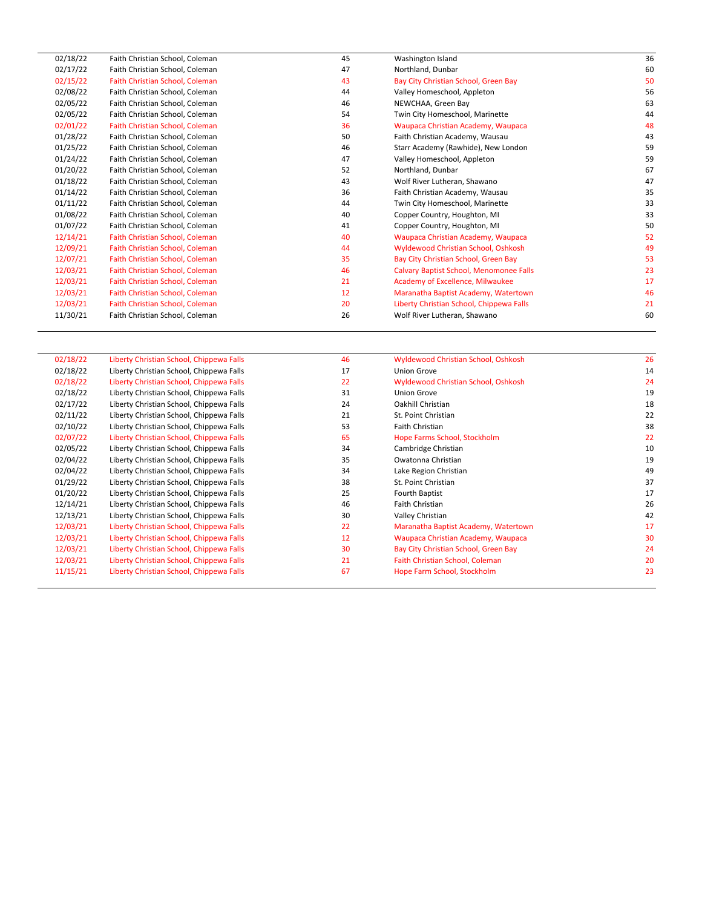| 02/18/22 | Faith Christian School, Coleman | 45 | Washington Island                        | 36 |
|----------|---------------------------------|----|------------------------------------------|----|
| 02/17/22 | Faith Christian School, Coleman | 47 | Northland, Dunbar                        | 60 |
| 02/15/22 | Faith Christian School, Coleman | 43 | Bay City Christian School, Green Bay     | 50 |
| 02/08/22 | Faith Christian School, Coleman | 44 | Valley Homeschool, Appleton              | 56 |
| 02/05/22 | Faith Christian School, Coleman | 46 | NEWCHAA, Green Bay                       | 63 |
| 02/05/22 | Faith Christian School, Coleman | 54 | Twin City Homeschool, Marinette          | 44 |
| 02/01/22 | Faith Christian School, Coleman | 36 | Waupaca Christian Academy, Waupaca       | 48 |
| 01/28/22 | Faith Christian School, Coleman | 50 | Faith Christian Academy, Wausau          | 43 |
| 01/25/22 | Faith Christian School, Coleman | 46 | Starr Academy (Rawhide), New London      | 59 |
| 01/24/22 | Faith Christian School, Coleman | 47 | Valley Homeschool, Appleton              | 59 |
| 01/20/22 | Faith Christian School, Coleman | 52 | Northland, Dunbar                        | 67 |
| 01/18/22 | Faith Christian School, Coleman | 43 | Wolf River Lutheran, Shawano             | 47 |
| 01/14/22 | Faith Christian School, Coleman | 36 | Faith Christian Academy, Wausau          | 35 |
| 01/11/22 | Faith Christian School, Coleman | 44 | Twin City Homeschool, Marinette          | 33 |
| 01/08/22 | Faith Christian School, Coleman | 40 | Copper Country, Houghton, MI             | 33 |
| 01/07/22 | Faith Christian School, Coleman | 41 | Copper Country, Houghton, MI             | 50 |
| 12/14/21 | Faith Christian School, Coleman | 40 | Waupaca Christian Academy, Waupaca       | 52 |
| 12/09/21 | Faith Christian School, Coleman | 44 | Wyldewood Christian School, Oshkosh      | 49 |
| 12/07/21 | Faith Christian School, Coleman | 35 | Bay City Christian School, Green Bay     | 53 |
| 12/03/21 | Faith Christian School, Coleman | 46 | Calvary Baptist School, Menomonee Falls  | 23 |
| 12/03/21 | Faith Christian School, Coleman | 21 | Academy of Excellence, Milwaukee         | 17 |
| 12/03/21 | Faith Christian School, Coleman | 12 | Maranatha Baptist Academy, Watertown     | 46 |
| 12/03/21 | Faith Christian School, Coleman | 20 | Liberty Christian School, Chippewa Falls | 21 |
| 11/30/21 | Faith Christian School, Coleman | 26 | Wolf River Lutheran, Shawano             | 60 |
|          |                                 |    |                                          |    |

| 02/18/22 | Liberty Christian School, Chippewa Falls | 46 | Wyldewood Christian School, Oshkosh  | 26 |
|----------|------------------------------------------|----|--------------------------------------|----|
| 02/18/22 | Liberty Christian School, Chippewa Falls | 17 | Union Grove                          | 14 |
| 02/18/22 | Liberty Christian School, Chippewa Falls | 22 | Wyldewood Christian School, Oshkosh  | 24 |
| 02/18/22 | Liberty Christian School, Chippewa Falls | 31 | <b>Union Grove</b>                   | 19 |
| 02/17/22 | Liberty Christian School, Chippewa Falls | 24 | Oakhill Christian                    | 18 |
| 02/11/22 | Liberty Christian School, Chippewa Falls | 21 | St. Point Christian                  | 22 |
| 02/10/22 | Liberty Christian School, Chippewa Falls | 53 | Faith Christian                      | 38 |
| 02/07/22 | Liberty Christian School, Chippewa Falls | 65 | Hope Farms School, Stockholm         | 22 |
| 02/05/22 | Liberty Christian School, Chippewa Falls | 34 | Cambridge Christian                  | 10 |
| 02/04/22 | Liberty Christian School, Chippewa Falls | 35 | Owatonna Christian                   | 19 |
| 02/04/22 | Liberty Christian School, Chippewa Falls | 34 | Lake Region Christian                | 49 |
| 01/29/22 | Liberty Christian School, Chippewa Falls | 38 | St. Point Christian                  | 37 |
| 01/20/22 | Liberty Christian School, Chippewa Falls | 25 | Fourth Baptist                       | 17 |
| 12/14/21 | Liberty Christian School, Chippewa Falls | 46 | Faith Christian                      | 26 |
| 12/13/21 | Liberty Christian School, Chippewa Falls | 30 | Valley Christian                     | 42 |
| 12/03/21 | Liberty Christian School, Chippewa Falls | 22 | Maranatha Baptist Academy, Watertown | 17 |
| 12/03/21 | Liberty Christian School, Chippewa Falls | 12 | Waupaca Christian Academy, Waupaca   | 30 |
| 12/03/21 | Liberty Christian School, Chippewa Falls | 30 | Bay City Christian School, Green Bay | 24 |
| 12/03/21 | Liberty Christian School, Chippewa Falls | 21 | Faith Christian School, Coleman      | 20 |
| 11/15/21 | Liberty Christian School, Chippewa Falls | 67 | Hope Farm School, Stockholm          | 23 |
|          |                                          |    |                                      |    |